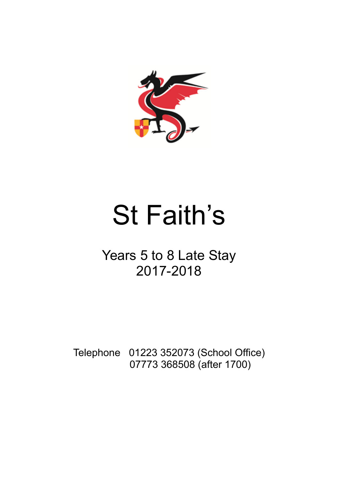

# St Faith's

# Years 5 to 8 Late Stay 2017-2018

Telephone 01223 352073 (School Office) 07773 368508 (after 1700)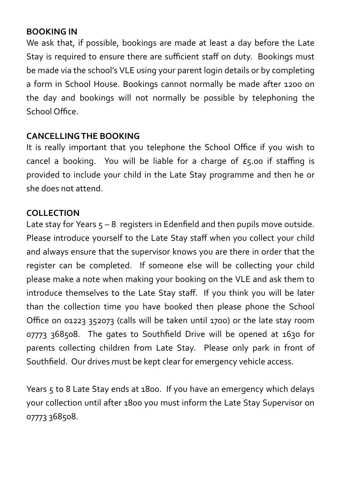#### **BOOKING IN**

We ask that, if possible, bookings are made at least a day before the Late Stay is required to ensure there are sufficient staff on duty. Bookings must be made via the school's VLE using your parent login details or by completing a form in School House. Bookings cannot normally be made after 1200 on the day and bookings will not normally be possible by telephoning the School Office.

#### **CANCELLING THE BOOKING**

It is really important that you telephone the School Office if you wish to cancel a booking. You will be liable for a charge of  $E_5$  to if staffing is provided to include your child in the Late Stay programme and then he or she does not attend.

#### **COLLECTION**

Late stay for Years  $5 - 8$  registers in Edenfield and then pupils move outside. Please introduce yourself to the Late Stay staff when you collect your child and always ensure that the supervisor knows you are there in order that the register can be completed. If someone else will be collecting your child please make a note when making your booking on the VLE and ask them to introduce themselves to the Late Stay staff. If you think you will be later than the collection time you have booked then please phone the School Office on 01223 352073 (calls will be taken until 1700) or the late stay room 07773 368508. The gates to Southfield Drive will be opened at 1630 for parents collecting children from Late Stay. Please only park in front of Southfield. Our drives must be kept clear for emergency vehicle access.

Years 5 to 8 Late Stay ends at 1800. If you have an emergency which delays your collection until after 1800 you must inform the Late Stay Supervisor on 07773 368508.